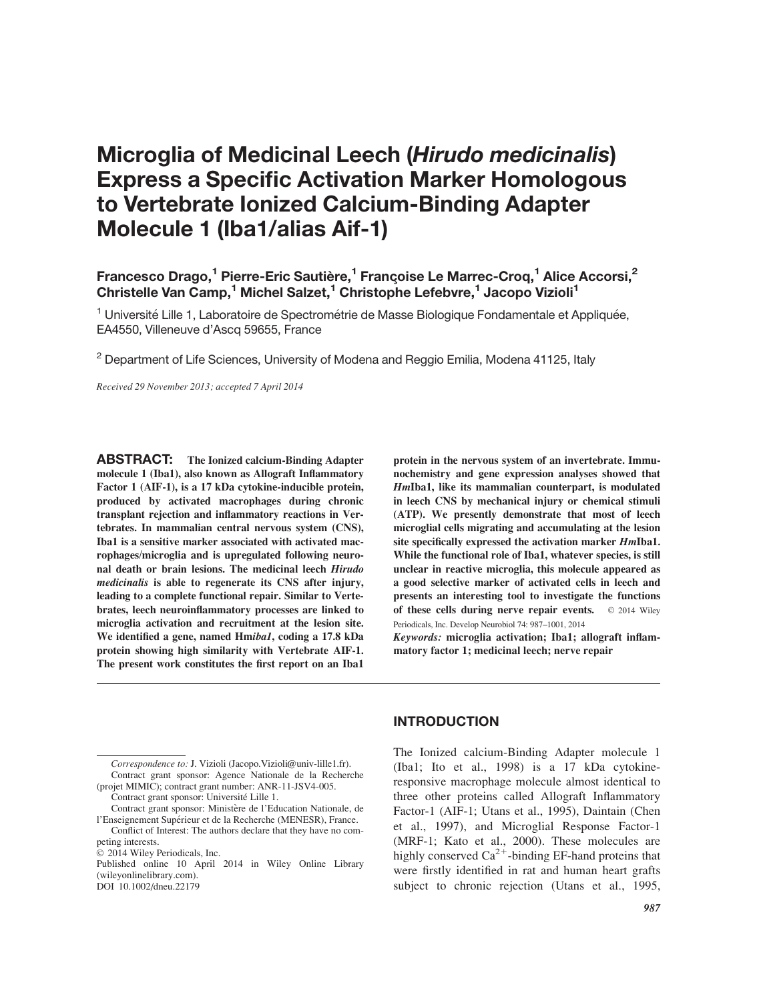# Microglia of Medicinal Leech (Hirudo medicinalis) Express a Specific Activation Marker Homologous to Vertebrate Ionized Calcium-Binding Adapter Molecule 1 (Iba1/alias Aif-1)

## Francesco Drago,<sup>1</sup> Pierre-Eric Sautière,<sup>1</sup> Françoise Le Marrec-Croq,<sup>1</sup> Alice Accorsi,<sup>2</sup> Christelle Van Camp,<sup>1</sup> Michel Salzet,<sup>1</sup> Christophe Lefebvre,<sup>1</sup> Jacopo Vizioli<sup>1</sup>

<sup>1</sup> Université Lille 1, Laboratoire de Spectrométrie de Masse Biologique Fondamentale et Appliquée, EA4550, Villeneuve d'Ascq 59655, France

 $2$  Department of Life Sciences, University of Modena and Reggio Emilia, Modena 41125, Italy

Received 29 November 2013; accepted 7 April 2014

ABSTRACT: The Ionized calcium-Binding Adapter molecule 1 (Iba1), also known as Allograft Inflammatory Factor 1 (AIF-1), is a 17 kDa cytokine-inducible protein, produced by activated macrophages during chronic transplant rejection and inflammatory reactions in Vertebrates. In mammalian central nervous system (CNS), Iba1 is a sensitive marker associated with activated macrophages/microglia and is upregulated following neuronal death or brain lesions. The medicinal leech Hirudo medicinalis is able to regenerate its CNS after injury, leading to a complete functional repair. Similar to Vertebrates, leech neuroinflammatory processes are linked to microglia activation and recruitment at the lesion site. We identified a gene, named Hmiba1, coding a 17.8 kDa protein showing high similarity with Vertebrate AIF-1. The present work constitutes the first report on an Iba1

protein in the nervous system of an invertebrate. Immunochemistry and gene expression analyses showed that HmIba1, like its mammalian counterpart, is modulated in leech CNS by mechanical injury or chemical stimuli (ATP). We presently demonstrate that most of leech microglial cells migrating and accumulating at the lesion site specifically expressed the activation marker HmIba1. While the functional role of Iba1, whatever species, is still unclear in reactive microglia, this molecule appeared as a good selective marker of activated cells in leech and presents an interesting tool to investigate the functions of these cells during nerve repair events.  $\circ$  2014 Wiley Periodicals, Inc. Develop Neurobiol 74: 987–1001, 2014

Keywords: microglia activation; Iba1; allograft inflammatory factor 1; medicinal leech; nerve repair

Published online 10 April 2014 in Wiley Online Library (wileyonlinelibrary.com).

DOI 10.1002/dneu.22179

## INTRODUCTION

The Ionized calcium-Binding Adapter molecule 1 (Iba1; Ito et al., 1998) is a 17 kDa cytokineresponsive macrophage molecule almost identical to three other proteins called Allograft Inflammatory Factor-1 (AIF-1; Utans et al., 1995), Daintain (Chen et al., 1997), and Microglial Response Factor-1 (MRF-1; Kato et al., 2000). These molecules are highly conserved  $Ca^{2+}$ -binding EF-hand proteins that were firstly identified in rat and human heart grafts subject to chronic rejection (Utans et al., 1995,

Correspondence to: J. Vizioli (Jacopo.Vizioli@univ-lille1.fr). Contract grant sponsor: Agence Nationale de la Recherche (projet MIMIC); contract grant number: ANR-11-JSV4-005.

Contract grant sponsor: Université Lille 1.

Contract grant sponsor: Ministère de l'Education Nationale, de l'Enseignement Supérieur et de la Recherche (MENESR), France. Conflict of Interest: The authors declare that they have no com-

peting interests.

 $©$  2014 Wiley Periodicals, Inc.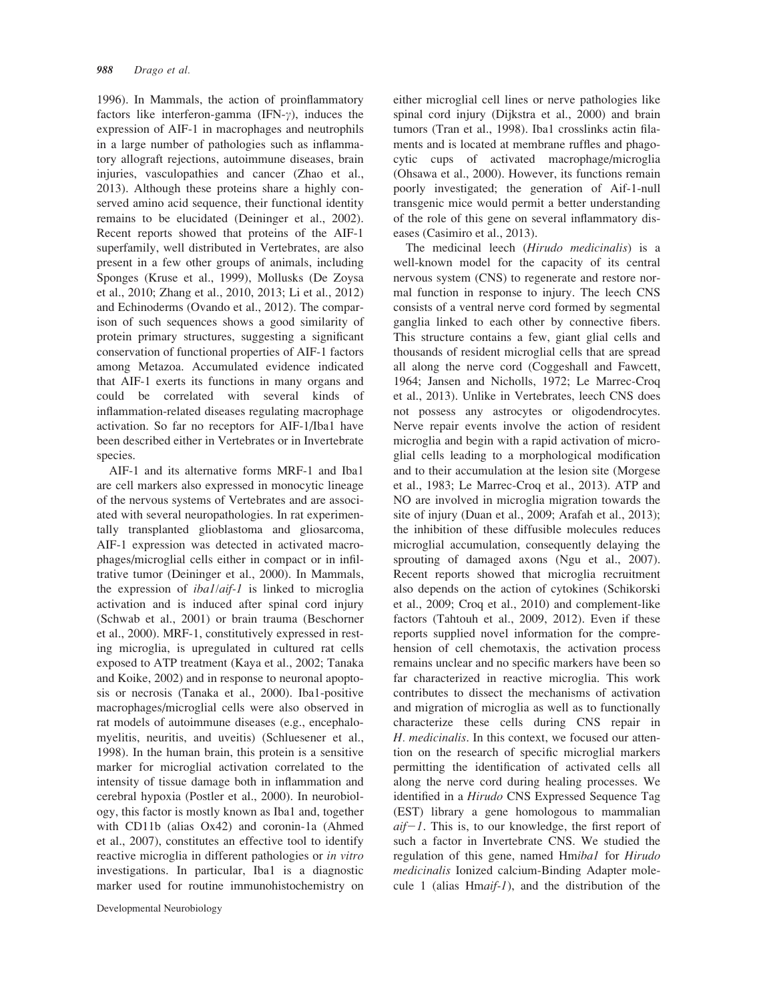1996). In Mammals, the action of proinflammatory factors like interferon-gamma (IFN- $\gamma$ ), induces the expression of AIF-1 in macrophages and neutrophils in a large number of pathologies such as inflammatory allograft rejections, autoimmune diseases, brain injuries, vasculopathies and cancer (Zhao et al., 2013). Although these proteins share a highly conserved amino acid sequence, their functional identity remains to be elucidated (Deininger et al., 2002). Recent reports showed that proteins of the AIF-1 superfamily, well distributed in Vertebrates, are also present in a few other groups of animals, including Sponges (Kruse et al., 1999), Mollusks (De Zoysa et al., 2010; Zhang et al., 2010, 2013; Li et al., 2012) and Echinoderms (Ovando et al., 2012). The comparison of such sequences shows a good similarity of protein primary structures, suggesting a significant conservation of functional properties of AIF-1 factors among Metazoa. Accumulated evidence indicated that AIF-1 exerts its functions in many organs and could be correlated with several kinds of inflammation-related diseases regulating macrophage activation. So far no receptors for AIF-1/Iba1 have been described either in Vertebrates or in Invertebrate species.

AIF-1 and its alternative forms MRF-1 and Iba1 are cell markers also expressed in monocytic lineage of the nervous systems of Vertebrates and are associated with several neuropathologies. In rat experimentally transplanted glioblastoma and gliosarcoma, AIF-1 expression was detected in activated macrophages/microglial cells either in compact or in infiltrative tumor (Deininger et al., 2000). In Mammals, the expression of iba1/aif-1 is linked to microglia activation and is induced after spinal cord injury (Schwab et al., 2001) or brain trauma (Beschorner et al., 2000). MRF-1, constitutively expressed in resting microglia, is upregulated in cultured rat cells exposed to ATP treatment (Kaya et al., 2002; Tanaka and Koike, 2002) and in response to neuronal apoptosis or necrosis (Tanaka et al., 2000). Iba1-positive macrophages/microglial cells were also observed in rat models of autoimmune diseases (e.g., encephalomyelitis, neuritis, and uveitis) (Schluesener et al., 1998). In the human brain, this protein is a sensitive marker for microglial activation correlated to the intensity of tissue damage both in inflammation and cerebral hypoxia (Postler et al., 2000). In neurobiology, this factor is mostly known as Iba1 and, together with CD11b (alias Ox42) and coronin-1a (Ahmed et al., 2007), constitutes an effective tool to identify reactive microglia in different pathologies or in vitro investigations. In particular, Iba1 is a diagnostic marker used for routine immunohistochemistry on

Developmental Neurobiology

either microglial cell lines or nerve pathologies like spinal cord injury (Dijkstra et al., 2000) and brain tumors (Tran et al., 1998). Iba1 crosslinks actin filaments and is located at membrane ruffles and phagocytic cups of activated macrophage/microglia (Ohsawa et al., 2000). However, its functions remain poorly investigated; the generation of Aif-1-null transgenic mice would permit a better understanding of the role of this gene on several inflammatory diseases (Casimiro et al., 2013).

The medicinal leech (Hirudo medicinalis) is a well-known model for the capacity of its central nervous system (CNS) to regenerate and restore normal function in response to injury. The leech CNS consists of a ventral nerve cord formed by segmental ganglia linked to each other by connective fibers. This structure contains a few, giant glial cells and thousands of resident microglial cells that are spread all along the nerve cord (Coggeshall and Fawcett, 1964; Jansen and Nicholls, 1972; Le Marrec-Croq et al., 2013). Unlike in Vertebrates, leech CNS does not possess any astrocytes or oligodendrocytes. Nerve repair events involve the action of resident microglia and begin with a rapid activation of microglial cells leading to a morphological modification and to their accumulation at the lesion site (Morgese et al., 1983; Le Marrec-Croq et al., 2013). ATP and NO are involved in microglia migration towards the site of injury (Duan et al., 2009; Arafah et al., 2013); the inhibition of these diffusible molecules reduces microglial accumulation, consequently delaying the sprouting of damaged axons (Ngu et al., 2007). Recent reports showed that microglia recruitment also depends on the action of cytokines (Schikorski et al., 2009; Croq et al., 2010) and complement-like factors (Tahtouh et al., 2009, 2012). Even if these reports supplied novel information for the comprehension of cell chemotaxis, the activation process remains unclear and no specific markers have been so far characterized in reactive microglia. This work contributes to dissect the mechanisms of activation and migration of microglia as well as to functionally characterize these cells during CNS repair in H. medicinalis. In this context, we focused our attention on the research of specific microglial markers permitting the identification of activated cells all along the nerve cord during healing processes. We identified in a Hirudo CNS Expressed Sequence Tag (EST) library a gene homologous to mammalian  $aif-1$ . This is, to our knowledge, the first report of such a factor in Invertebrate CNS. We studied the regulation of this gene, named Hmibal for Hirudo medicinalis Ionized calcium-Binding Adapter molecule 1 (alias  $H$ maif-1), and the distribution of the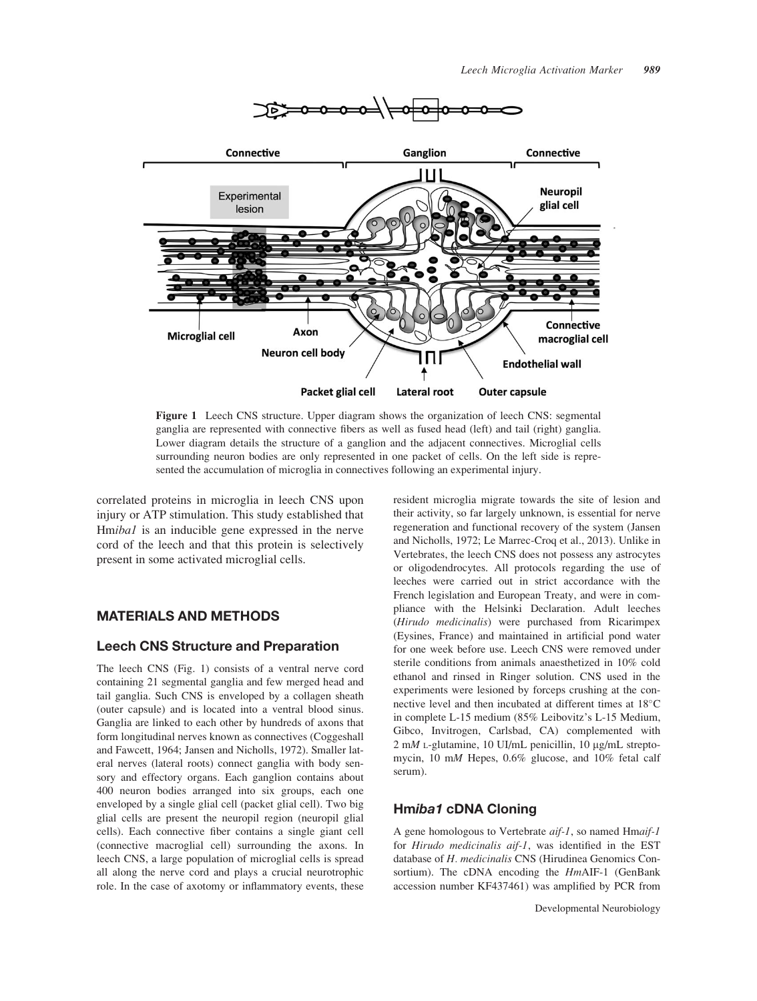

Figure 1 Leech CNS structure. Upper diagram shows the organization of leech CNS: segmental ganglia are represented with connective fibers as well as fused head (left) and tail (right) ganglia. Lower diagram details the structure of a ganglion and the adjacent connectives. Microglial cells surrounding neuron bodies are only represented in one packet of cells. On the left side is represented the accumulation of microglia in connectives following an experimental injury.

correlated proteins in microglia in leech CNS upon injury or ATP stimulation. This study established that Hmibal is an inducible gene expressed in the nerve cord of the leech and that this protein is selectively present in some activated microglial cells.

## MATERIALS AND METHODS

#### Leech CNS Structure and Preparation

The leech CNS (Fig. 1) consists of a ventral nerve cord containing 21 segmental ganglia and few merged head and tail ganglia. Such CNS is enveloped by a collagen sheath (outer capsule) and is located into a ventral blood sinus. Ganglia are linked to each other by hundreds of axons that form longitudinal nerves known as connectives (Coggeshall and Fawcett, 1964; Jansen and Nicholls, 1972). Smaller lateral nerves (lateral roots) connect ganglia with body sensory and effectory organs. Each ganglion contains about 400 neuron bodies arranged into six groups, each one enveloped by a single glial cell (packet glial cell). Two big glial cells are present the neuropil region (neuropil glial cells). Each connective fiber contains a single giant cell (connective macroglial cell) surrounding the axons. In leech CNS, a large population of microglial cells is spread all along the nerve cord and plays a crucial neurotrophic role. In the case of axotomy or inflammatory events, these

resident microglia migrate towards the site of lesion and their activity, so far largely unknown, is essential for nerve regeneration and functional recovery of the system (Jansen and Nicholls, 1972; Le Marrec-Croq et al., 2013). Unlike in Vertebrates, the leech CNS does not possess any astrocytes or oligodendrocytes. All protocols regarding the use of leeches were carried out in strict accordance with the French legislation and European Treaty, and were in compliance with the Helsinki Declaration. Adult leeches (Hirudo medicinalis) were purchased from Ricarimpex (Eysines, France) and maintained in artificial pond water for one week before use. Leech CNS were removed under sterile conditions from animals anaesthetized in 10% cold ethanol and rinsed in Ringer solution. CNS used in the experiments were lesioned by forceps crushing at the connective level and then incubated at different times at 18°C in complete L-15 medium (85% Leibovitz's L-15 Medium, Gibco, Invitrogen, Carlsbad, CA) complemented with  $2 \text{ mM } L$ -glutamine, 10 UI/mL penicillin, 10  $\mu$ g/mL streptomycin, 10 mM Hepes, 0.6% glucose, and 10% fetal calf serum).

## Hmiba1 cDNA Cloning

A gene homologous to Vertebrate aif-1, so named Hmaif-1 for Hirudo medicinalis aif-1, was identified in the EST database of H. medicinalis CNS (Hirudinea Genomics Consortium). The cDNA encoding the HmAIF-1 (GenBank accession number KF437461) was amplified by PCR from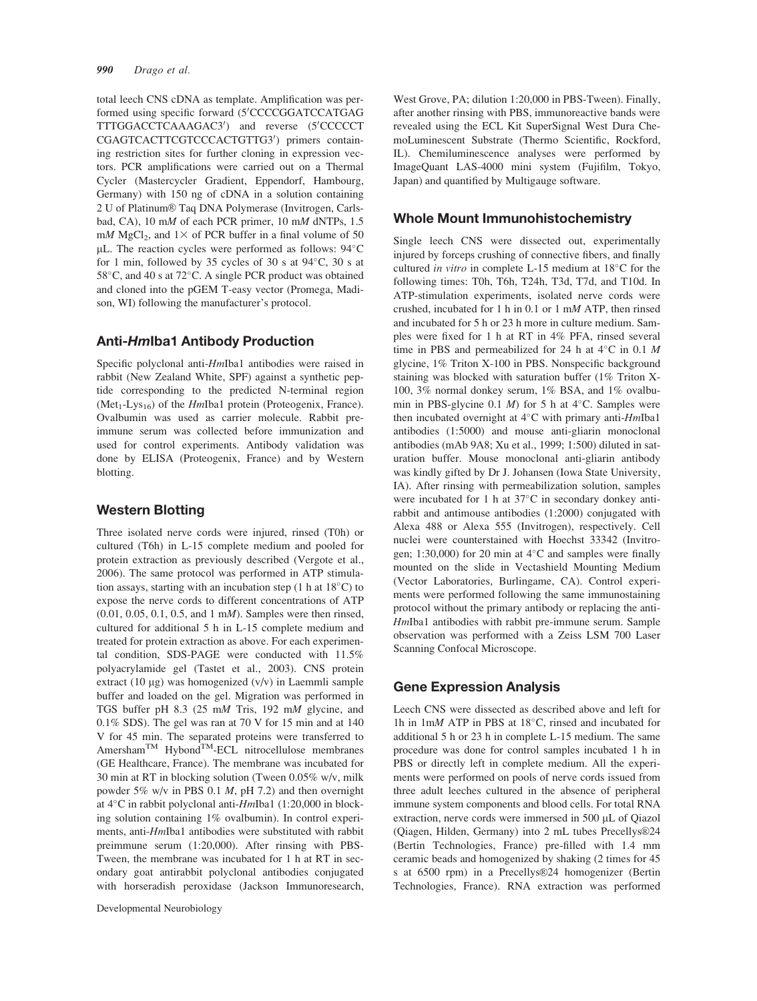total leech CNS cDNA as template. Amplification was performed using specific forward (5'CCCCGGATCCATGAG TTTGGACCTCAAAGAC3') and reverse (5'CCCCCT CGAGTCACTTCGTCCCACTGTTG3') primers containing restriction sites for further cloning in expression vectors. PCR amplifications were carried out on a Thermal Cycler (Mastercycler Gradient, Eppendorf, Hambourg, Germany) with 150 ng of cDNA in a solution containing 2 U of Platinum® Taq DNA Polymerase (Invitrogen, Carlsbad, CA), 10 mM of each PCR primer, 10 mM dNTPs, 1.5 mM MgCl<sub>2</sub>, and  $1\times$  of PCR buffer in a final volume of 50 µL. The reaction cycles were performed as follows: 94°C for 1 min, followed by 35 cycles of 30 s at  $94^{\circ}$ C, 30 s at 58°C, and 40 s at 72°C. A single PCR product was obtained and cloned into the pGEM T-easy vector (Promega, Madison, WI) following the manufacturer's protocol.

## Anti-HmIba1 Antibody Production

Specific polyclonal anti-HmIba1 antibodies were raised in rabbit (New Zealand White, SPF) against a synthetic peptide corresponding to the predicted N-terminal region  $(Met<sub>1</sub>-Lys<sub>16</sub>)$  of the *HmIba1* protein (Proteogenix, France). Ovalbumin was used as carrier molecule. Rabbit preimmune serum was collected before immunization and used for control experiments. Antibody validation was done by ELISA (Proteogenix, France) and by Western blotting.

## Western Blotting

Three isolated nerve cords were injured, rinsed (T0h) or cultured (T6h) in L-15 complete medium and pooled for protein extraction as previously described (Vergote et al., 2006). The same protocol was performed in ATP stimulation assays, starting with an incubation step  $(1 h at 18^{\circ}C)$  to expose the nerve cords to different concentrations of ATP (0.01, 0.05, 0.1, 0.5, and 1 mM). Samples were then rinsed, cultured for additional 5 h in L-15 complete medium and treated for protein extraction as above. For each experimental condition, SDS-PAGE were conducted with 11.5% polyacrylamide gel (Tastet et al., 2003). CNS protein extract (10  $\mu$ g) was homogenized (v/v) in Laemmli sample buffer and loaded on the gel. Migration was performed in TGS buffer pH 8.3 (25 mM Tris, 192 mM glycine, and 0.1% SDS). The gel was ran at 70 V for 15 min and at 140 V for 45 min. The separated proteins were transferred to  $\text{Amersham}^{\text{TM}}$  Hybond<sup>TM</sup>-ECL nitrocellulose membranes (GE Healthcare, France). The membrane was incubated for 30 min at RT in blocking solution (Tween 0.05% w/v, milk powder 5% w/v in PBS 0.1  $M$ , pH 7.2) and then overnight at 4°C in rabbit polyclonal anti-HmIba1 (1:20,000 in blocking solution containing 1% ovalbumin). In control experiments, anti-HmIba1 antibodies were substituted with rabbit preimmune serum (1:20,000). After rinsing with PBS-Tween, the membrane was incubated for 1 h at RT in secondary goat antirabbit polyclonal antibodies conjugated with horseradish peroxidase (Jackson Immunoresearch,

Developmental Neurobiology

West Grove, PA; dilution 1:20,000 in PBS-Tween). Finally, after another rinsing with PBS, immunoreactive bands were revealed using the ECL Kit SuperSignal West Dura ChemoLuminescent Substrate (Thermo Scientific, Rockford, IL). Chemiluminescence analyses were performed by ImageQuant LAS-4000 mini system (Fujifilm, Tokyo, Japan) and quantified by Multigauge software.

#### Whole Mount Immunohistochemistry

Single leech CNS were dissected out, experimentally injured by forceps crushing of connective fibers, and finally cultured in vitro in complete L-15 medium at  $18^{\circ}$ C for the following times: T0h, T6h, T24h, T3d, T7d, and T10d. In ATP-stimulation experiments, isolated nerve cords were crushed, incubated for 1 h in 0.1 or 1 mM ATP, then rinsed and incubated for 5 h or 23 h more in culture medium. Samples were fixed for 1 h at RT in 4% PFA, rinsed several time in PBS and permeabilized for 24 h at  $4^{\circ}$ C in 0.1 M glycine, 1% Triton X-100 in PBS. Nonspecific background staining was blocked with saturation buffer (1% Triton X-100, 3% normal donkey serum, 1% BSA, and 1% ovalbumin in PBS-glycine 0.1  $M$ ) for 5 h at 4°C. Samples were then incubated overnight at  $4^{\circ}$ C with primary anti-HmIba1 antibodies (1:5000) and mouse anti-gliarin monoclonal antibodies (mAb 9A8; Xu et al., 1999; 1:500) diluted in saturation buffer. Mouse monoclonal anti-gliarin antibody was kindly gifted by Dr J. Johansen (Iowa State University, IA). After rinsing with permeabilization solution, samples were incubated for 1 h at 37°C in secondary donkey antirabbit and antimouse antibodies (1:2000) conjugated with Alexa 488 or Alexa 555 (Invitrogen), respectively. Cell nuclei were counterstained with Hoechst 33342 (Invitrogen; 1:30,000) for 20 min at  $4^{\circ}$ C and samples were finally mounted on the slide in Vectashield Mounting Medium (Vector Laboratories, Burlingame, CA). Control experiments were performed following the same immunostaining protocol without the primary antibody or replacing the anti-HmIba1 antibodies with rabbit pre-immune serum. Sample observation was performed with a Zeiss LSM 700 Laser Scanning Confocal Microscope.

## Gene Expression Analysis

Leech CNS were dissected as described above and left for 1h in 1mM ATP in PBS at 18°C, rinsed and incubated for additional 5 h or 23 h in complete L-15 medium. The same procedure was done for control samples incubated 1 h in PBS or directly left in complete medium. All the experiments were performed on pools of nerve cords issued from three adult leeches cultured in the absence of peripheral immune system components and blood cells. For total RNA extraction, nerve cords were immersed in 500 µL of Qiazol (Qiagen, Hilden, Germany) into 2 mL tubes Precellys®24 (Bertin Technologies, France) pre-filled with 1.4 mm ceramic beads and homogenized by shaking (2 times for 45 s at 6500 rpm) in a Precellys®24 homogenizer (Bertin Technologies, France). RNA extraction was performed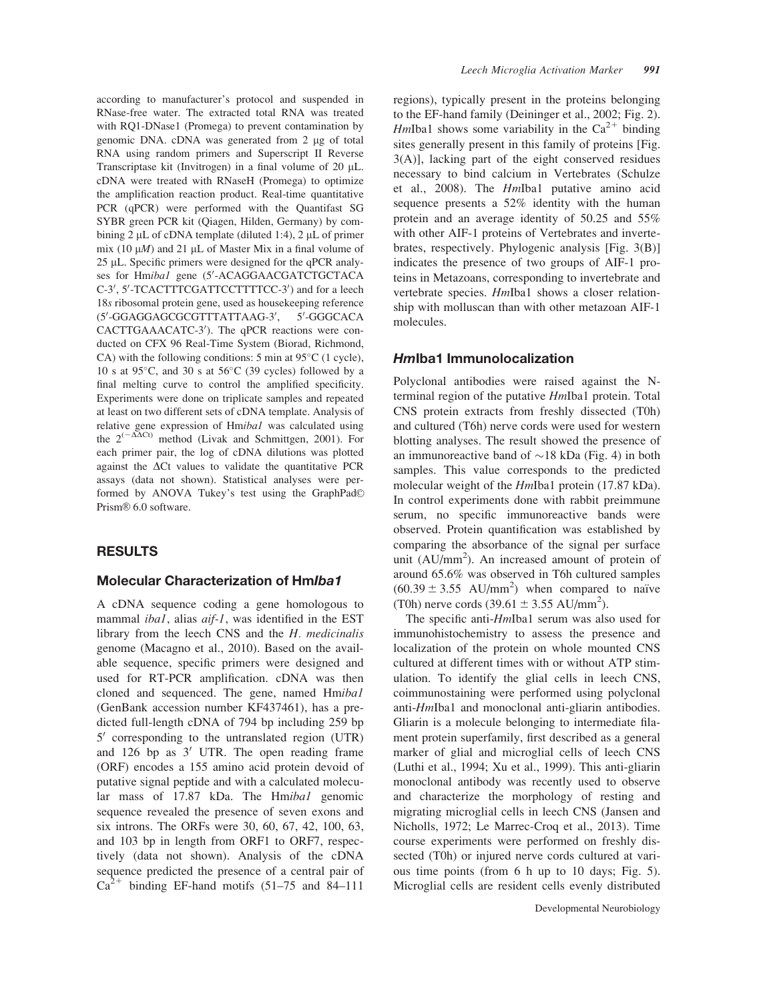according to manufacturer's protocol and suspended in RNase-free water. The extracted total RNA was treated with RQ1-DNase1 (Promega) to prevent contamination by genomic DNA.  $c$ DNA was generated from 2  $\mu$ g of total RNA using random primers and Superscript II Reverse Transcriptase kit (Invitrogen) in a final volume of 20  $\mu$ L. cDNA were treated with RNaseH (Promega) to optimize the amplification reaction product. Real-time quantitative PCR (qPCR) were performed with the Quantifast SG SYBR green PCR kit (Qiagen, Hilden, Germany) by combining 2  $\mu$ L of cDNA template (diluted 1:4), 2  $\mu$ L of primer mix (10  $\mu$ *M*) and 21  $\mu$ L of Master Mix in a final volume of  $25 \mu L$ . Specific primers were designed for the qPCR analyses for Hmibal gene (5'-ACAGGAACGATCTGCTACA C-3', 5'-TCACTTTCGATTCCTTTTCC-3') and for a leech 18s ribosomal protein gene, used as housekeeping reference (5'-GGAGGAGCGCGTTTATTAAG-3', 5' -GGGCACA CACTTGAAACATC-3'). The qPCR reactions were conducted on CFX 96 Real-Time System (Biorad, Richmond, CA) with the following conditions:  $5 \text{ min}$  at  $95^{\circ}$ C (1 cycle), 10 s at  $95^{\circ}$ C, and 30 s at  $56^{\circ}$ C (39 cycles) followed by a final melting curve to control the amplified specificity. Experiments were done on triplicate samples and repeated at least on two different sets of cDNA template. Analysis of relative gene expression of Hmiba1 was calculated using the  $2^{(-\Delta\Delta Ct)}$  method (Livak and Schmittgen, 2001). For each primer pair, the log of cDNA dilutions was plotted against the  $\Delta$ Ct values to validate the quantitative PCR assays (data not shown). Statistical analyses were performed by ANOVA Tukey's test using the GraphPad© Prism® 6.0 software.

#### RESULTS

#### Molecular Characterization of HmIba1

A cDNA sequence coding a gene homologous to mammal *ibal*, alias *aif-1*, was identified in the EST library from the leech CNS and the H. medicinalis genome (Macagno et al., 2010). Based on the available sequence, specific primers were designed and used for RT-PCR amplification. cDNA was then cloned and sequenced. The gene, named Hmiba1 (GenBank accession number KF437461), has a predicted full-length cDNA of 794 bp including 259 bp  $5'$  corresponding to the untranslated region (UTR) and  $126$  bp as  $3'$  UTR. The open reading frame (ORF) encodes a 155 amino acid protein devoid of putative signal peptide and with a calculated molecular mass of 17.87 kDa. The Hmibal genomic sequence revealed the presence of seven exons and six introns. The ORFs were 30, 60, 67, 42, 100, 63, and 103 bp in length from ORF1 to ORF7, respectively (data not shown). Analysis of the cDNA sequence predicted the presence of a central pair of  $Ca^{2+}$  binding EF-hand motifs (51–75 and 84–111

regions), typically present in the proteins belonging to the EF-hand family (Deininger et al., 2002; Fig. 2). HmIba1 shows some variability in the  $Ca^{2+}$  binding sites generally present in this family of proteins [Fig. 3(A)], lacking part of the eight conserved residues necessary to bind calcium in Vertebrates (Schulze et al., 2008). The HmIba1 putative amino acid sequence presents a 52% identity with the human protein and an average identity of 50.25 and 55% with other AIF-1 proteins of Vertebrates and invertebrates, respectively. Phylogenic analysis [Fig. 3(B)] indicates the presence of two groups of AIF-1 proteins in Metazoans, corresponding to invertebrate and vertebrate species. HmIba1 shows a closer relationship with molluscan than with other metazoan AIF-1 molecules.

#### HmIba1 Immunolocalization

Polyclonal antibodies were raised against the Nterminal region of the putative HmIba1 protein. Total CNS protein extracts from freshly dissected (T0h) and cultured (T6h) nerve cords were used for western blotting analyses. The result showed the presence of an immunoreactive band of  $\sim$ 18 kDa (Fig. 4) in both samples. This value corresponds to the predicted molecular weight of the *HmIba1* protein (17.87 kDa). In control experiments done with rabbit preimmune serum, no specific immunoreactive bands were observed. Protein quantification was established by comparing the absorbance of the signal per surface unit (AU/mm<sup>2</sup>). An increased amount of protein of around 65.6% was observed in T6h cultured samples  $(60.39 \pm 3.55$  AU/mm<sup>2</sup>) when compared to naïve (T0h) nerve cords  $(39.61 \pm 3.55 \text{ AU/mm}^2)$ .

The specific anti-*HmIba1* serum was also used for immunohistochemistry to assess the presence and localization of the protein on whole mounted CNS cultured at different times with or without ATP stimulation. To identify the glial cells in leech CNS, coimmunostaining were performed using polyclonal anti-HmIba1 and monoclonal anti-gliarin antibodies. Gliarin is a molecule belonging to intermediate filament protein superfamily, first described as a general marker of glial and microglial cells of leech CNS (Luthi et al., 1994; Xu et al., 1999). This anti-gliarin monoclonal antibody was recently used to observe and characterize the morphology of resting and migrating microglial cells in leech CNS (Jansen and Nicholls, 1972; Le Marrec-Croq et al., 2013). Time course experiments were performed on freshly dissected (T0h) or injured nerve cords cultured at various time points (from 6 h up to 10 days; Fig. 5). Microglial cells are resident cells evenly distributed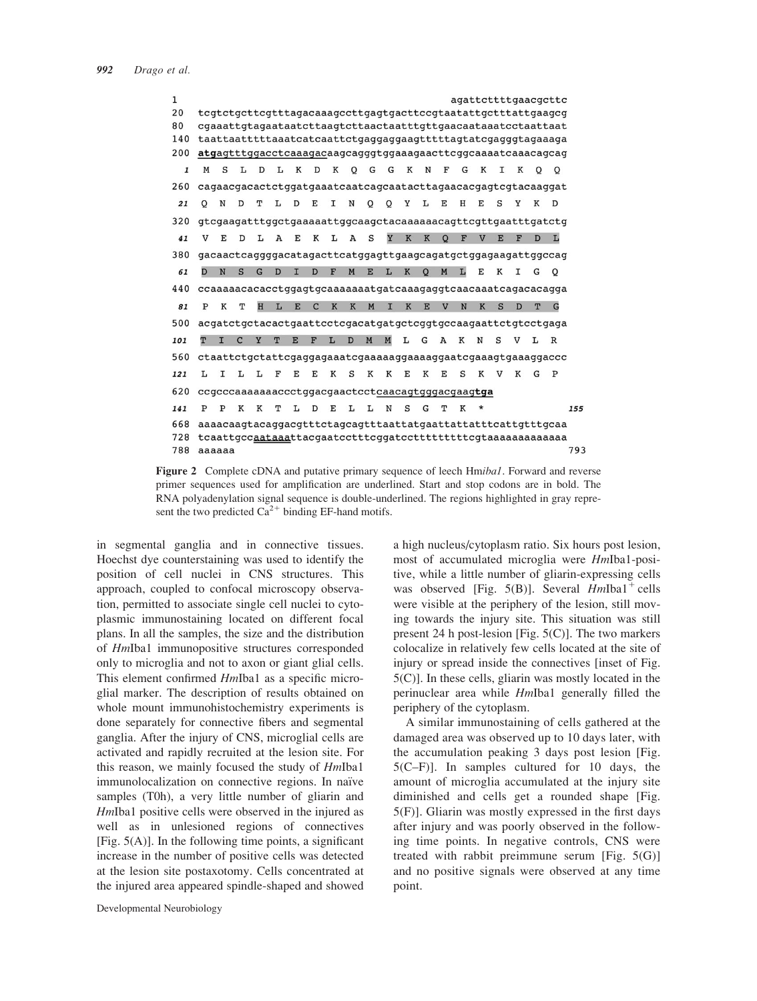| $\mathbf{1}$ |                                                               |                                                              |    |              |    |             |    |              |   |    |   |         |                |   |                         |    |   |    | agattcttttgaacgcttc |     |
|--------------|---------------------------------------------------------------|--------------------------------------------------------------|----|--------------|----|-------------|----|--------------|---|----|---|---------|----------------|---|-------------------------|----|---|----|---------------------|-----|
| 20           | tcgtctgcttcgtttagacaaagccttgagtgacttccgtaatattgctttattgaagcg  |                                                              |    |              |    |             |    |              |   |    |   |         |                |   |                         |    |   |    |                     |     |
| 80           |                                                               |                                                              |    |              |    |             |    |              |   |    |   |         |                |   |                         |    |   |    |                     |     |
| 140          | taattaatttttaaatcatcaattctgaggaggaagtttttagtatcgagggtagaaaga  |                                                              |    |              |    |             |    |              |   |    |   |         |                |   |                         |    |   |    |                     |     |
| 200          | atgagtttggacctcaaagacaagcagggtggaaagaacttcggcaaaatcaaacagcag  |                                                              |    |              |    |             |    |              |   |    |   |         |                |   |                         |    |   |    |                     |     |
| $\mathbf{1}$ | М<br>S                                                        | L.                                                           | D  | L            | К  | D           | Κ  | $\circ$      | G | G  | Κ | N       | F              | G | K                       | T. | К | O  | O                   |     |
| 260          | cagaacgacactctggatgaaatcaatcagcaatacttagaacacgagtcgtacaaggat  |                                                              |    |              |    |             |    |              |   |    |   |         |                |   |                         |    |   |    |                     |     |
| 21           | N<br>O                                                        | D                                                            | т  | т.           | D  | E           | т  | N            | o | O  | Y | т.      | E              | H | E                       | S  | Y | K  | D                   |     |
| 320          | gtcgaagatttggctgaaaaattggcaagctacaaaaaaacagttcgttgaatttgatctg |                                                              |    |              |    |             |    |              |   |    |   |         |                |   |                         |    |   |    |                     |     |
| 41           | E<br>v                                                        | D                                                            | L  | $\mathbf{A}$ | E  | К           | L  | $\mathbf{A}$ | S | Y  | K | K       | $\Omega$       | F | $\overline{\mathbf{V}}$ | E  | F | D  | L                   |     |
| 380          | gacaactcaggggacatagacttcatggagttgaagcagatgctggagaagattggccag  |                                                              |    |              |    |             |    |              |   |    |   |         |                |   |                         |    |   |    |                     |     |
| 61           | N<br>$\mathbf{D}$                                             | $\mathbf S$                                                  | G  | D            | T. | D           | F  | M            | E | L  | K | $\circ$ | M              | L | E                       | K  | I | G  | O                   |     |
| 440          | ccaaaaacacacctggagtgcaaaaaaatgatcaaagaggtcaacaaatcagacacagga  |                                                              |    |              |    |             |    |              |   |    |   |         |                |   |                         |    |   |    |                     |     |
| 81           | K<br>P                                                        | т                                                            | H  | L            | E  | $\mathbf C$ | K  | K            | M | T. | K | E       | $\overline{V}$ | N | K                       | S  | D | T  | G                   |     |
| 500          | acgatctgctacactgaattcctcgacatgatgctcggtgccaagaattctgtcctgaga  |                                                              |    |              |    |             |    |              |   |    |   |         |                |   |                         |    |   |    |                     |     |
| 101          | T<br>I                                                        | $\mathbf C$                                                  | Y  | T            | E  | F           | L  | D            | M | M  | г | G       | A              | K | N                       | S  | V | T. | $\mathbb R$         |     |
| 560          | ctaattctgctattcgaggagaaatcgaaaaaggaaaaggaatcgaaagtgaaaggaccc  |                                                              |    |              |    |             |    |              |   |    |   |         |                |   |                         |    |   |    |                     |     |
| 121          | т.<br>I                                                       | L                                                            | т. | F            | E  | E           | K  | S            | К | К  | E | К       | E              | S | K                       | v  | К | G  | P                   |     |
| 620          | ccgcccaaaaaaaccctggacgaactcctcaacagtgggacgaagtga              |                                                              |    |              |    |             |    |              |   |    |   |         |                |   |                         |    |   |    |                     |     |
| 141          | P<br>P                                                        | K                                                            | K  | т            | т. | D           | F. | т.           | L | N  | S | G       | T              | K | $^\star$                |    |   |    |                     | 155 |
| 668          |                                                               | aaaacaagtacaggacgtttctagcagtttaattatgaattattatttcattgtttgcaa |    |              |    |             |    |              |   |    |   |         |                |   |                         |    |   |    |                     |     |
| 728          |                                                               |                                                              |    |              |    |             |    |              |   |    |   |         |                |   |                         |    |   |    |                     |     |
| 788          | aaaaaa                                                        |                                                              |    |              |    |             |    |              |   |    |   |         |                |   |                         |    |   |    |                     | 793 |

Figure 2 Complete cDNA and putative primary sequence of leech Hmibal. Forward and reverse primer sequences used for amplification are underlined. Start and stop codons are in bold. The RNA polyadenylation signal sequence is double-underlined. The regions highlighted in gray represent the two predicted  $Ca^{2+}$  binding EF-hand motifs.

in segmental ganglia and in connective tissues. Hoechst dye counterstaining was used to identify the position of cell nuclei in CNS structures. This approach, coupled to confocal microscopy observation, permitted to associate single cell nuclei to cytoplasmic immunostaining located on different focal plans. In all the samples, the size and the distribution of HmIba1 immunopositive structures corresponded only to microglia and not to axon or giant glial cells. This element confirmed HmIba1 as a specific microglial marker. The description of results obtained on whole mount immunohistochemistry experiments is done separately for connective fibers and segmental ganglia. After the injury of CNS, microglial cells are activated and rapidly recruited at the lesion site. For this reason, we mainly focused the study of HmIba1 immunolocalization on connective regions. In naïve samples (T0h), a very little number of gliarin and HmIba1 positive cells were observed in the injured as well as in unlesioned regions of connectives [Fig.  $5(A)$ ]. In the following time points, a significant increase in the number of positive cells was detected at the lesion site postaxotomy. Cells concentrated at the injured area appeared spindle-shaped and showed

a high nucleus/cytoplasm ratio. Six hours post lesion, most of accumulated microglia were HmIba1-positive, while a little number of gliarin-expressing cells was observed [Fig. 5(B)]. Several  $HmIba1^+$  cells were visible at the periphery of the lesion, still moving towards the injury site. This situation was still present 24 h post-lesion [Fig. 5(C)]. The two markers colocalize in relatively few cells located at the site of injury or spread inside the connectives [inset of Fig. 5(C)]. In these cells, gliarin was mostly located in the perinuclear area while HmIba1 generally filled the periphery of the cytoplasm.

A similar immunostaining of cells gathered at the damaged area was observed up to 10 days later, with the accumulation peaking 3 days post lesion [Fig. 5(C–F)]. In samples cultured for 10 days, the amount of microglia accumulated at the injury site diminished and cells get a rounded shape [Fig. 5(F)]. Gliarin was mostly expressed in the first days after injury and was poorly observed in the following time points. In negative controls, CNS were treated with rabbit preimmune serum [Fig. 5(G)] and no positive signals were observed at any time point.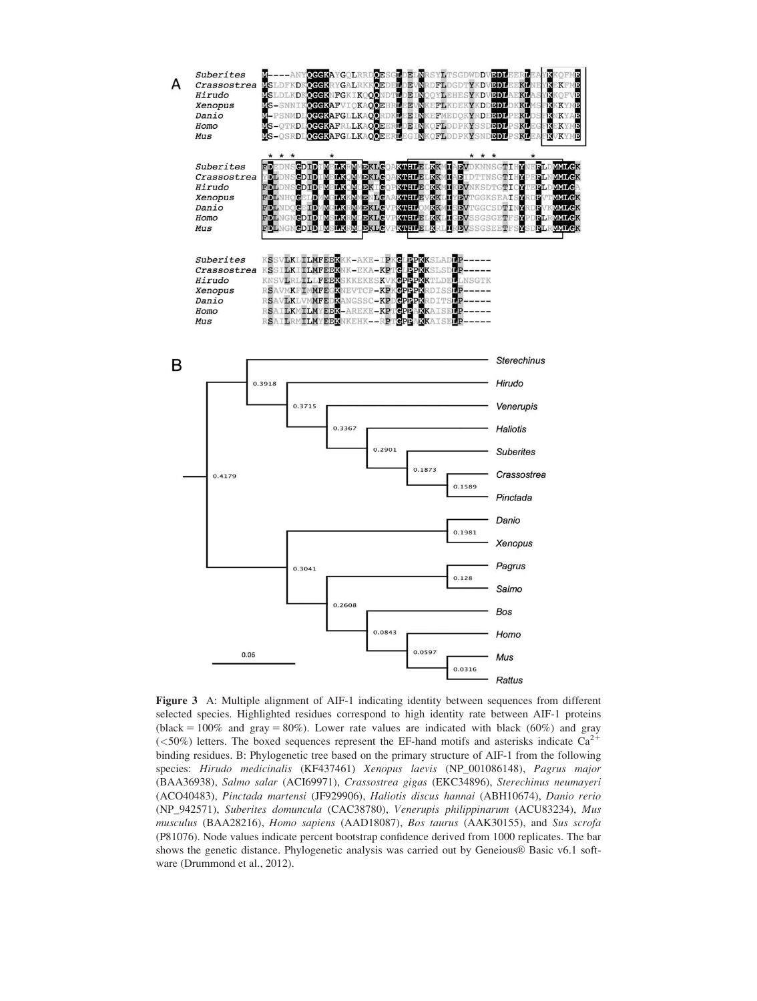

Figure 3 A: Multiple alignment of AIF-1 indicating identity between sequences from different selected species. Highlighted residues correspond to high identity rate between AIF-1 proteins (black =  $100\%$  and gray =  $80\%$ ). Lower rate values are indicated with black (60%) and gray ( $<50\%$ ) letters. The boxed sequences represent the EF-hand motifs and asterisks indicate Ca<sup>2+</sup> binding residues. B: Phylogenetic tree based on the primary structure of AIF-1 from the following species: Hirudo medicinalis (KF437461) Xenopus laevis (NP\_001086148), Pagrus major (BAA36938), Salmo salar (ACI69971), Crassostrea gigas (EKC34896), Sterechinus neumayeri (ACO40483), Pinctada martensi (JF929906), Haliotis discus hannai (ABH10674), Danio rerio (NP\_942571), Suberites domuncula (CAC38780), Venerupis philippinarum (ACU83234), Mus musculus (BAA28216), Homo sapiens (AAD18087), Bos taurus (AAK30155), and Sus scrofa (P81076). Node values indicate percent bootstrap confidence derived from 1000 replicates. The bar shows the genetic distance. Phylogenetic analysis was carried out by Geneious® Basic v6.1 software (Drummond et al., 2012).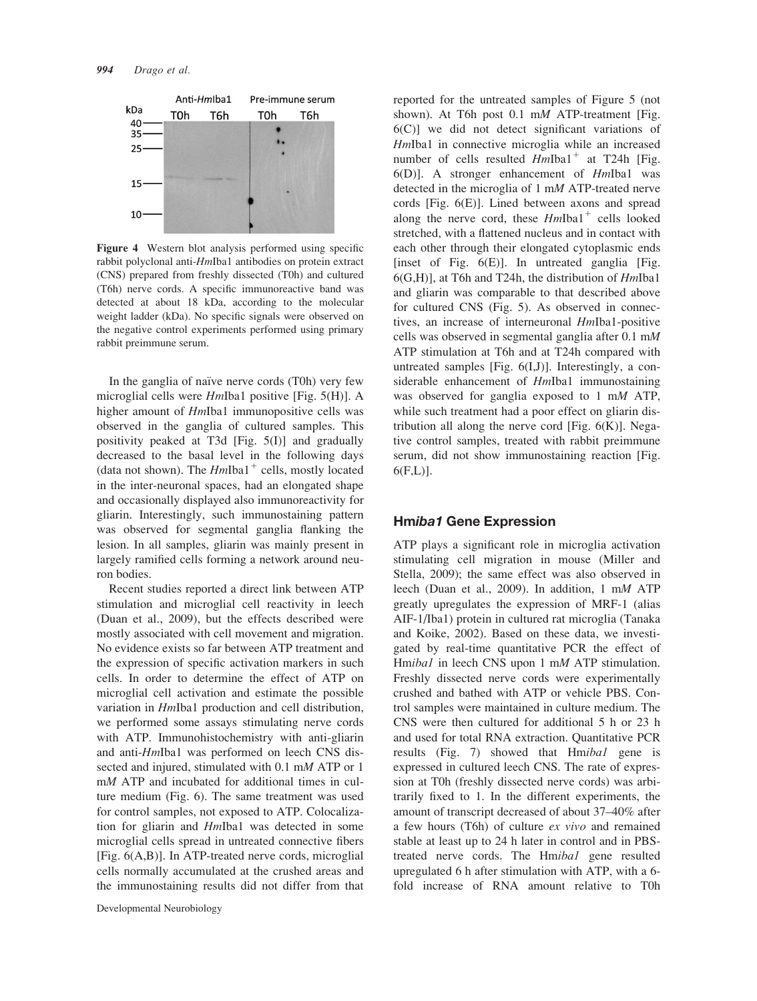

Figure 4 Western blot analysis performed using specific rabbit polyclonal anti-HmIba1 antibodies on protein extract (CNS) prepared from freshly dissected (T0h) and cultured (T6h) nerve cords. A specific immunoreactive band was detected at about 18 kDa, according to the molecular weight ladder (kDa). No specific signals were observed on the negative control experiments performed using primary rabbit preimmune serum.

In the ganglia of naïve nerve cords (T0h) very few microglial cells were HmIba1 positive [Fig. 5(H)]. A higher amount of *HmIba1* immunopositive cells was observed in the ganglia of cultured samples. This positivity peaked at T3d [Fig. 5(I)] and gradually decreased to the basal level in the following days (data not shown). The  $HmIba1^+$  cells, mostly located in the inter-neuronal spaces, had an elongated shape and occasionally displayed also immunoreactivity for gliarin. Interestingly, such immunostaining pattern was observed for segmental ganglia flanking the lesion. In all samples, gliarin was mainly present in largely ramified cells forming a network around neuron bodies.

Recent studies reported a direct link between ATP stimulation and microglial cell reactivity in leech (Duan et al., 2009), but the effects described were mostly associated with cell movement and migration. No evidence exists so far between ATP treatment and the expression of specific activation markers in such cells. In order to determine the effect of ATP on microglial cell activation and estimate the possible variation in HmIba1 production and cell distribution, we performed some assays stimulating nerve cords with ATP. Immunohistochemistry with anti-gliarin and anti-HmIba1 was performed on leech CNS dissected and injured, stimulated with 0.1 mM ATP or 1 mM ATP and incubated for additional times in culture medium (Fig. 6). The same treatment was used for control samples, not exposed to ATP. Colocalization for gliarin and HmIba1 was detected in some microglial cells spread in untreated connective fibers [Fig. 6(A,B)]. In ATP-treated nerve cords, microglial cells normally accumulated at the crushed areas and the immunostaining results did not differ from that

Developmental Neurobiology

reported for the untreated samples of Figure 5 (not shown). At T6h post 0.1 mM ATP-treatment [Fig. 6(C)] we did not detect significant variations of HmIba1 in connective microglia while an increased number of cells resulted  $HmIba1^+$  at T24h [Fig. 6(D)]. A stronger enhancement of HmIba1 was detected in the microglia of 1 mM ATP-treated nerve cords [Fig. 6(E)]. Lined between axons and spread along the nerve cord, these  $HmIba1<sup>+</sup>$  cells looked stretched, with a flattened nucleus and in contact with each other through their elongated cytoplasmic ends [inset of Fig.  $6(E)$ ]. In untreated ganglia [Fig. 6(G,H)], at T6h and T24h, the distribution of HmIba1 and gliarin was comparable to that described above for cultured CNS (Fig. 5). As observed in connectives, an increase of interneuronal HmIba1-positive cells was observed in segmental ganglia after 0.1 mM ATP stimulation at T6h and at T24h compared with untreated samples [Fig.  $6(I,J)$ ]. Interestingly, a considerable enhancement of HmIba1 immunostaining was observed for ganglia exposed to 1 mM ATP, while such treatment had a poor effect on gliarin distribution all along the nerve cord [Fig.  $6(K)$ ]. Negative control samples, treated with rabbit preimmune serum, did not show immunostaining reaction [Fig.  $6(F,L)$ ].

## Hmiba1 Gene Expression

ATP plays a significant role in microglia activation stimulating cell migration in mouse (Miller and Stella, 2009); the same effect was also observed in leech (Duan et al., 2009). In addition, 1 mM ATP greatly upregulates the expression of MRF-1 (alias AIF-1/Iba1) protein in cultured rat microglia (Tanaka and Koike, 2002). Based on these data, we investigated by real-time quantitative PCR the effect of Hmibal in leech CNS upon 1 mM ATP stimulation. Freshly dissected nerve cords were experimentally crushed and bathed with ATP or vehicle PBS. Control samples were maintained in culture medium. The CNS were then cultured for additional 5 h or 23 h and used for total RNA extraction. Quantitative PCR results (Fig. 7) showed that Hmibal gene is expressed in cultured leech CNS. The rate of expression at T0h (freshly dissected nerve cords) was arbitrarily fixed to 1. In the different experiments, the amount of transcript decreased of about 37–40% after a few hours (T6h) of culture ex vivo and remained stable at least up to 24 h later in control and in PBStreated nerve cords. The Hmibal gene resulted upregulated 6 h after stimulation with ATP, with a 6 fold increase of RNA amount relative to T0h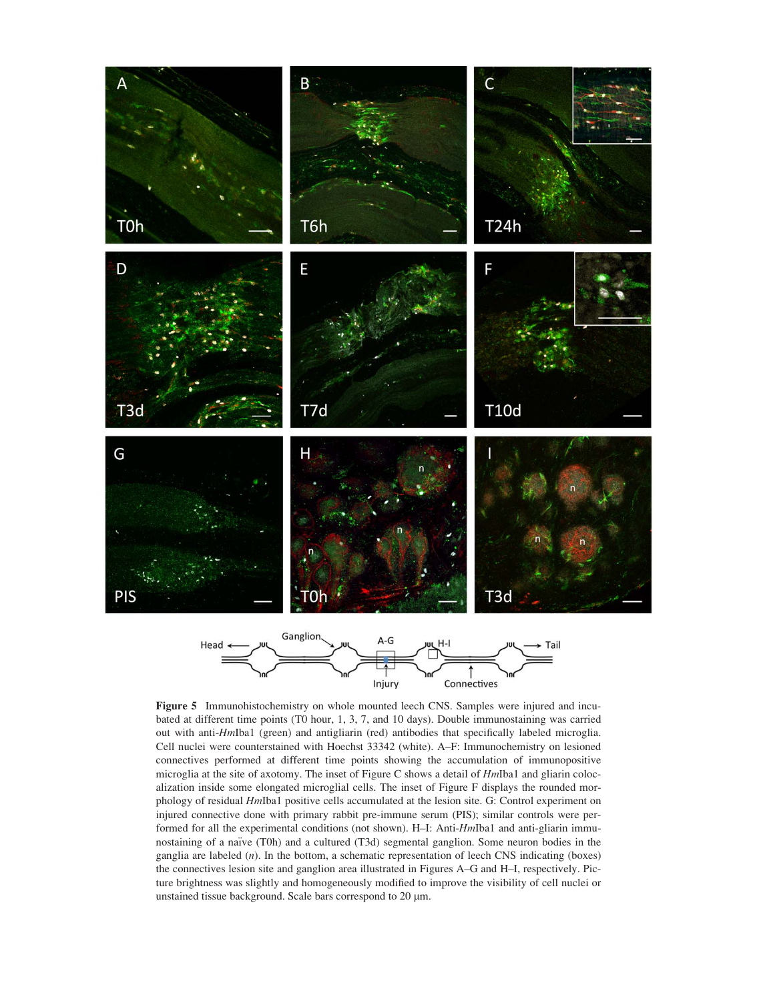

Figure 5 Immunohistochemistry on whole mounted leech CNS. Samples were injured and incubated at different time points (T0 hour, 1, 3, 7, and 10 days). Double immunostaining was carried out with anti-HmIba1 (green) and antigliarin (red) antibodies that specifically labeled microglia. Cell nuclei were counterstained with Hoechst 33342 (white). A–F: Immunochemistry on lesioned connectives performed at different time points showing the accumulation of immunopositive microglia at the site of axotomy. The inset of Figure C shows a detail of  $HmIba1$  and gliarin colocalization inside some elongated microglial cells. The inset of Figure F displays the rounded morphology of residual HmIba1 positive cells accumulated at the lesion site. G: Control experiment on injured connective done with primary rabbit pre-immune serum (PIS); similar controls were performed for all the experimental conditions (not shown). H-I: Anti-HmIba1 and anti-gliarin immunostaining of a naïve (T0h) and a cultured (T3d) segmental ganglion. Some neuron bodies in the ganglia are labeled (n). In the bottom, a schematic representation of leech CNS indicating (boxes) the connectives lesion site and ganglion area illustrated in Figures A–G and H–I, respectively. Picture brightness was slightly and homogeneously modified to improve the visibility of cell nuclei or unstained tissue background. Scale bars correspond to 20  $\mu$ m.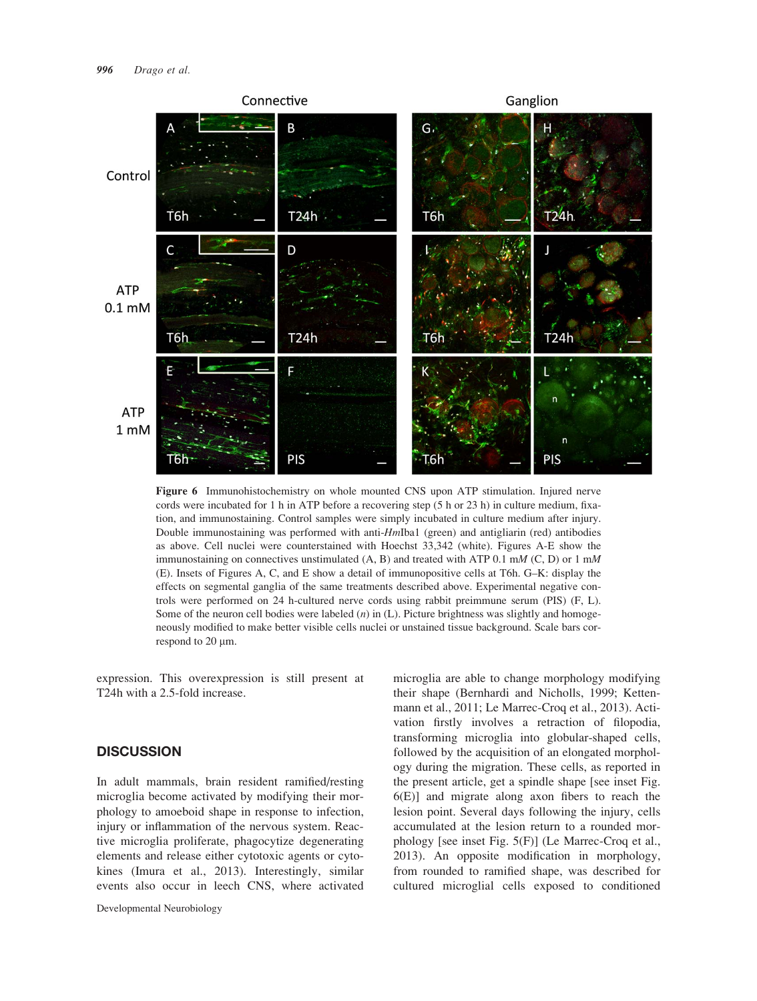

Figure 6 Immunohistochemistry on whole mounted CNS upon ATP stimulation. Injured nerve cords were incubated for 1 h in ATP before a recovering step (5 h or 23 h) in culture medium, fixation, and immunostaining. Control samples were simply incubated in culture medium after injury. Double immunostaining was performed with anti-HmIba1 (green) and antigliarin (red) antibodies as above. Cell nuclei were counterstained with Hoechst 33,342 (white). Figures A-E show the immunostaining on connectives unstimulated  $(A, B)$  and treated with ATP 0.1 mM (C, D) or 1 mM (E). Insets of Figures A, C, and E show a detail of immunopositive cells at T6h. G–K: display the effects on segmental ganglia of the same treatments described above. Experimental negative controls were performed on 24 h-cultured nerve cords using rabbit preimmune serum (PIS) (F, L). Some of the neuron cell bodies were labeled  $(n)$  in  $(L)$ . Picture brightness was slightly and homogeneously modified to make better visible cells nuclei or unstained tissue background. Scale bars correspond to  $20 \mu m$ .

expression. This overexpression is still present at T24h with a 2.5-fold increase.

## **DISCUSSION**

In adult mammals, brain resident ramified/resting microglia become activated by modifying their morphology to amoeboid shape in response to infection, injury or inflammation of the nervous system. Reactive microglia proliferate, phagocytize degenerating elements and release either cytotoxic agents or cytokines (Imura et al., 2013). Interestingly, similar events also occur in leech CNS, where activated

microglia are able to change morphology modifying their shape (Bernhardi and Nicholls, 1999; Kettenmann et al., 2011; Le Marrec-Croq et al., 2013). Activation firstly involves a retraction of filopodia, transforming microglia into globular-shaped cells, followed by the acquisition of an elongated morphology during the migration. These cells, as reported in the present article, get a spindle shape [see inset Fig. 6(E)] and migrate along axon fibers to reach the lesion point. Several days following the injury, cells accumulated at the lesion return to a rounded morphology [see inset Fig. 5(F)] (Le Marrec-Croq et al., 2013). An opposite modification in morphology, from rounded to ramified shape, was described for cultured microglial cells exposed to conditioned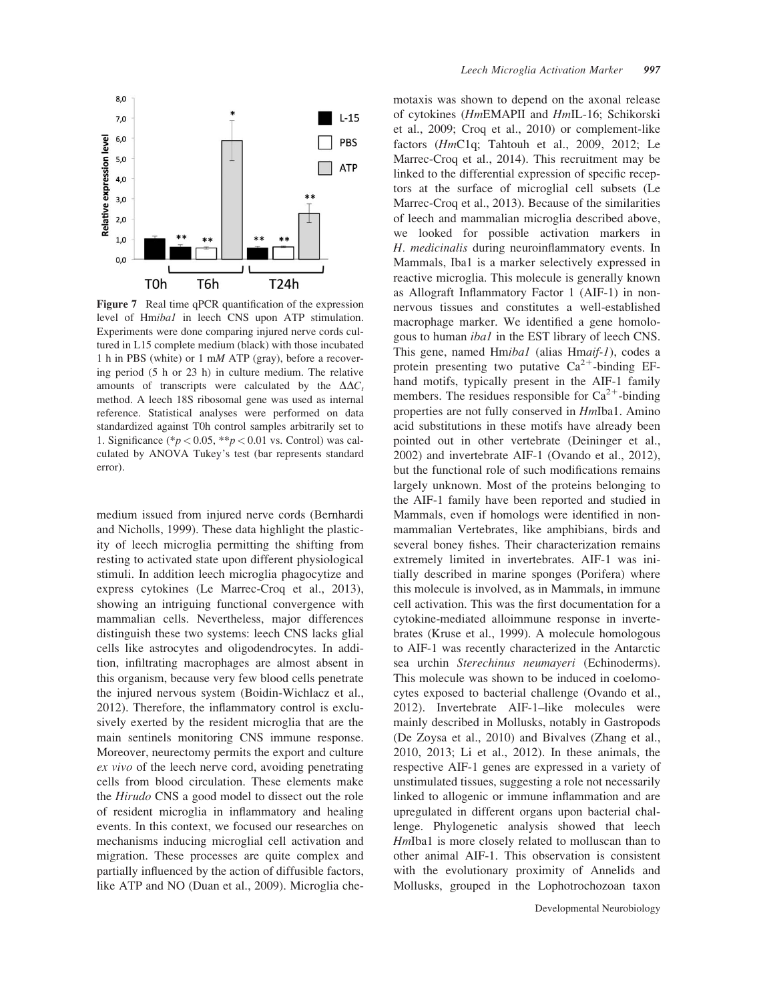

Figure 7 Real time qPCR quantification of the expression level of Hmiba1 in leech CNS upon ATP stimulation. Experiments were done comparing injured nerve cords cultured in L15 complete medium (black) with those incubated 1 h in PBS (white) or 1 mM ATP (gray), before a recovering period (5 h or 23 h) in culture medium. The relative amounts of transcripts were calculated by the  $\Delta \Delta C_t$ method. A leech 18S ribosomal gene was used as internal reference. Statistical analyses were performed on data standardized against T0h control samples arbitrarily set to 1. Significance (\* $p < 0.05$ , \*\* $p < 0.01$  vs. Control) was calculated by ANOVA Tukey's test (bar represents standard error).

medium issued from injured nerve cords (Bernhardi and Nicholls, 1999). These data highlight the plasticity of leech microglia permitting the shifting from resting to activated state upon different physiological stimuli. In addition leech microglia phagocytize and express cytokines (Le Marrec-Croq et al., 2013), showing an intriguing functional convergence with mammalian cells. Nevertheless, major differences distinguish these two systems: leech CNS lacks glial cells like astrocytes and oligodendrocytes. In addition, infiltrating macrophages are almost absent in this organism, because very few blood cells penetrate the injured nervous system (Boidin-Wichlacz et al., 2012). Therefore, the inflammatory control is exclusively exerted by the resident microglia that are the main sentinels monitoring CNS immune response. Moreover, neurectomy permits the export and culture ex vivo of the leech nerve cord, avoiding penetrating cells from blood circulation. These elements make the Hirudo CNS a good model to dissect out the role of resident microglia in inflammatory and healing events. In this context, we focused our researches on mechanisms inducing microglial cell activation and migration. These processes are quite complex and partially influenced by the action of diffusible factors, like ATP and NO (Duan et al., 2009). Microglia che-

motaxis was shown to depend on the axonal release of cytokines (HmEMAPII and HmIL-16; Schikorski et al., 2009; Croq et al., 2010) or complement-like factors (HmC1q; Tahtouh et al., 2009, 2012; Le Marrec-Croq et al., 2014). This recruitment may be linked to the differential expression of specific receptors at the surface of microglial cell subsets (Le Marrec-Croq et al., 2013). Because of the similarities of leech and mammalian microglia described above, we looked for possible activation markers in H. medicinalis during neuroinflammatory events. In Mammals, Iba1 is a marker selectively expressed in reactive microglia. This molecule is generally known as Allograft Inflammatory Factor 1 (AIF-1) in nonnervous tissues and constitutes a well-established macrophage marker. We identified a gene homologous to human iba1 in the EST library of leech CNS. This gene, named Hmibal (alias Hmaif-1), codes a protein presenting two putative  $Ca^{2+}$ -binding EFhand motifs, typically present in the AIF-1 family members. The residues responsible for  $Ca^{2+}$ -binding properties are not fully conserved in HmIba1. Amino acid substitutions in these motifs have already been pointed out in other vertebrate (Deininger et al., 2002) and invertebrate AIF-1 (Ovando et al., 2012), but the functional role of such modifications remains largely unknown. Most of the proteins belonging to the AIF-1 family have been reported and studied in Mammals, even if homologs were identified in nonmammalian Vertebrates, like amphibians, birds and several boney fishes. Their characterization remains extremely limited in invertebrates. AIF-1 was initially described in marine sponges (Porifera) where this molecule is involved, as in Mammals, in immune cell activation. This was the first documentation for a cytokine-mediated alloimmune response in invertebrates (Kruse et al., 1999). A molecule homologous to AIF-1 was recently characterized in the Antarctic sea urchin Sterechinus neumayeri (Echinoderms). This molecule was shown to be induced in coelomocytes exposed to bacterial challenge (Ovando et al., 2012). Invertebrate AIF-1–like molecules were mainly described in Mollusks, notably in Gastropods (De Zoysa et al., 2010) and Bivalves (Zhang et al., 2010, 2013; Li et al., 2012). In these animals, the respective AIF-1 genes are expressed in a variety of unstimulated tissues, suggesting a role not necessarily linked to allogenic or immune inflammation and are upregulated in different organs upon bacterial challenge. Phylogenetic analysis showed that leech HmIba1 is more closely related to molluscan than to other animal AIF-1. This observation is consistent with the evolutionary proximity of Annelids and Mollusks, grouped in the Lophotrochozoan taxon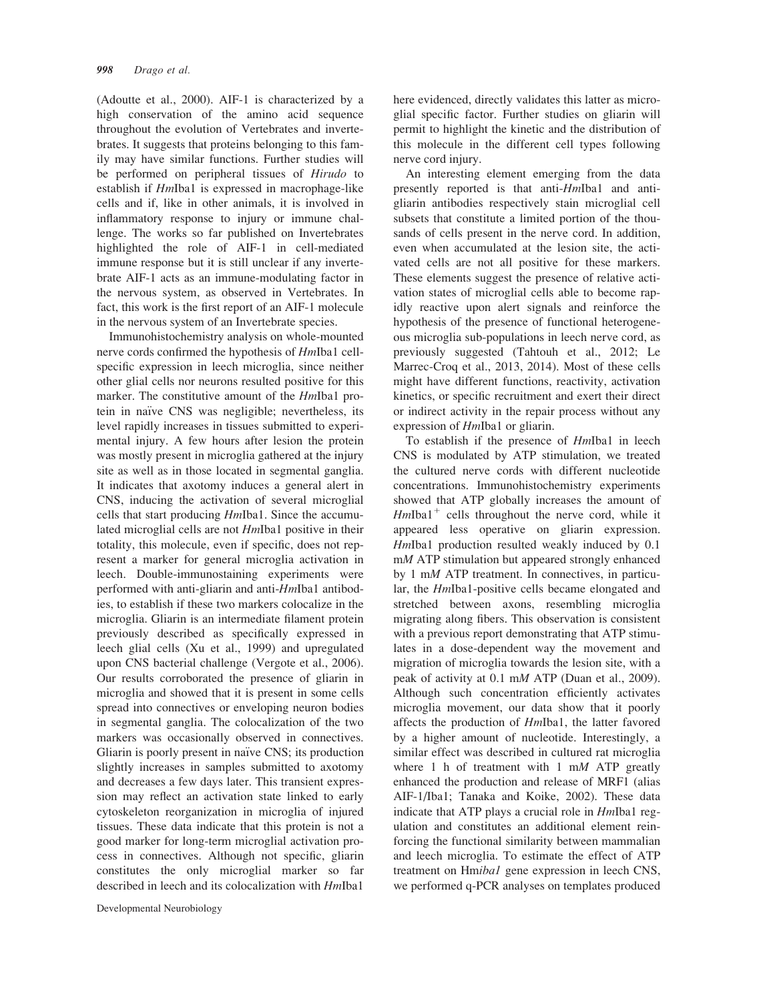(Adoutte et al., 2000). AIF-1 is characterized by a high conservation of the amino acid sequence throughout the evolution of Vertebrates and invertebrates. It suggests that proteins belonging to this family may have similar functions. Further studies will be performed on peripheral tissues of Hirudo to establish if HmIba1 is expressed in macrophage-like cells and if, like in other animals, it is involved in inflammatory response to injury or immune challenge. The works so far published on Invertebrates highlighted the role of AIF-1 in cell-mediated immune response but it is still unclear if any invertebrate AIF-1 acts as an immune-modulating factor in the nervous system, as observed in Vertebrates. In fact, this work is the first report of an AIF-1 molecule in the nervous system of an Invertebrate species.

Immunohistochemistry analysis on whole-mounted nerve cords confirmed the hypothesis of HmIba1 cellspecific expression in leech microglia, since neither other glial cells nor neurons resulted positive for this marker. The constitutive amount of the *HmIba1* protein in naïve CNS was negligible; nevertheless, its level rapidly increases in tissues submitted to experimental injury. A few hours after lesion the protein was mostly present in microglia gathered at the injury site as well as in those located in segmental ganglia. It indicates that axotomy induces a general alert in CNS, inducing the activation of several microglial cells that start producing HmIba1. Since the accumulated microglial cells are not HmIba1 positive in their totality, this molecule, even if specific, does not represent a marker for general microglia activation in leech. Double-immunostaining experiments were performed with anti-gliarin and anti-HmIba1 antibodies, to establish if these two markers colocalize in the microglia. Gliarin is an intermediate filament protein previously described as specifically expressed in leech glial cells (Xu et al., 1999) and upregulated upon CNS bacterial challenge (Vergote et al., 2006). Our results corroborated the presence of gliarin in microglia and showed that it is present in some cells spread into connectives or enveloping neuron bodies in segmental ganglia. The colocalization of the two markers was occasionally observed in connectives. Gliarin is poorly present in naïve CNS; its production slightly increases in samples submitted to axotomy and decreases a few days later. This transient expression may reflect an activation state linked to early cytoskeleton reorganization in microglia of injured tissues. These data indicate that this protein is not a good marker for long-term microglial activation process in connectives. Although not specific, gliarin constitutes the only microglial marker so far described in leech and its colocalization with HmIba1

here evidenced, directly validates this latter as microglial specific factor. Further studies on gliarin will permit to highlight the kinetic and the distribution of this molecule in the different cell types following nerve cord injury.

An interesting element emerging from the data presently reported is that anti-HmIba1 and antigliarin antibodies respectively stain microglial cell subsets that constitute a limited portion of the thousands of cells present in the nerve cord. In addition, even when accumulated at the lesion site, the activated cells are not all positive for these markers. These elements suggest the presence of relative activation states of microglial cells able to become rapidly reactive upon alert signals and reinforce the hypothesis of the presence of functional heterogeneous microglia sub-populations in leech nerve cord, as previously suggested (Tahtouh et al., 2012; Le Marrec-Croq et al., 2013, 2014). Most of these cells might have different functions, reactivity, activation kinetics, or specific recruitment and exert their direct or indirect activity in the repair process without any expression of HmIba1 or gliarin.

To establish if the presence of HmIba1 in leech CNS is modulated by ATP stimulation, we treated the cultured nerve cords with different nucleotide concentrations. Immunohistochemistry experiments showed that ATP globally increases the amount of  $HmIba1<sup>+</sup>$  cells throughout the nerve cord, while it appeared less operative on gliarin expression. HmIba1 production resulted weakly induced by 0.1 mM ATP stimulation but appeared strongly enhanced by 1 mM ATP treatment. In connectives, in particular, the HmIba1-positive cells became elongated and stretched between axons, resembling microglia migrating along fibers. This observation is consistent with a previous report demonstrating that ATP stimulates in a dose-dependent way the movement and migration of microglia towards the lesion site, with a peak of activity at 0.1 mM ATP (Duan et al., 2009). Although such concentration efficiently activates microglia movement, our data show that it poorly affects the production of HmIba1, the latter favored by a higher amount of nucleotide. Interestingly, a similar effect was described in cultured rat microglia where 1 h of treatment with 1  $mM$  ATP greatly enhanced the production and release of MRF1 (alias AIF-1/Iba1; Tanaka and Koike, 2002). These data indicate that ATP plays a crucial role in HmIba1 regulation and constitutes an additional element reinforcing the functional similarity between mammalian and leech microglia. To estimate the effect of ATP treatment on Hmibal gene expression in leech CNS, we performed q-PCR analyses on templates produced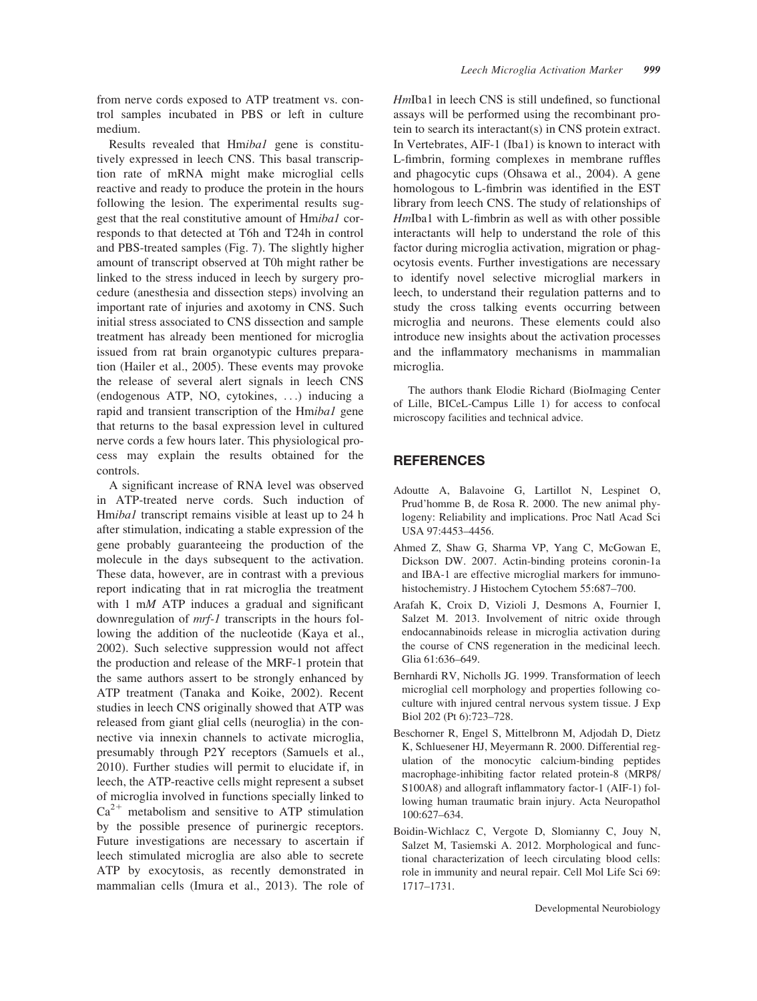from nerve cords exposed to ATP treatment vs. control samples incubated in PBS or left in culture medium.

Results revealed that Hmibal gene is constitutively expressed in leech CNS. This basal transcription rate of mRNA might make microglial cells reactive and ready to produce the protein in the hours following the lesion. The experimental results suggest that the real constitutive amount of Hmiba1 corresponds to that detected at T6h and T24h in control and PBS-treated samples (Fig. 7). The slightly higher amount of transcript observed at T0h might rather be linked to the stress induced in leech by surgery procedure (anesthesia and dissection steps) involving an important rate of injuries and axotomy in CNS. Such initial stress associated to CNS dissection and sample treatment has already been mentioned for microglia issued from rat brain organotypic cultures preparation (Hailer et al., 2005). These events may provoke the release of several alert signals in leech CNS (endogenous ATP, NO, cytokines, ...) inducing a rapid and transient transcription of the Hmibal gene that returns to the basal expression level in cultured nerve cords a few hours later. This physiological process may explain the results obtained for the controls.

A significant increase of RNA level was observed in ATP-treated nerve cords. Such induction of Hmibal transcript remains visible at least up to 24 h after stimulation, indicating a stable expression of the gene probably guaranteeing the production of the molecule in the days subsequent to the activation. These data, however, are in contrast with a previous report indicating that in rat microglia the treatment with 1 mM ATP induces a gradual and significant downregulation of mrf-1 transcripts in the hours following the addition of the nucleotide (Kaya et al., 2002). Such selective suppression would not affect the production and release of the MRF-1 protein that the same authors assert to be strongly enhanced by ATP treatment (Tanaka and Koike, 2002). Recent studies in leech CNS originally showed that ATP was released from giant glial cells (neuroglia) in the connective via innexin channels to activate microglia, presumably through P2Y receptors (Samuels et al., 2010). Further studies will permit to elucidate if, in leech, the ATP-reactive cells might represent a subset of microglia involved in functions specially linked to  $Ca<sup>2+</sup>$  metabolism and sensitive to ATP stimulation by the possible presence of purinergic receptors. Future investigations are necessary to ascertain if leech stimulated microglia are also able to secrete ATP by exocytosis, as recently demonstrated in mammalian cells (Imura et al., 2013). The role of HmIba1 in leech CNS is still undefined, so functional assays will be performed using the recombinant protein to search its interactant(s) in CNS protein extract. In Vertebrates, AIF-1 (Iba1) is known to interact with L-fimbrin, forming complexes in membrane ruffles and phagocytic cups (Ohsawa et al., 2004). A gene homologous to L-fimbrin was identified in the EST library from leech CNS. The study of relationships of HmIba1 with L-fimbrin as well as with other possible interactants will help to understand the role of this factor during microglia activation, migration or phagocytosis events. Further investigations are necessary to identify novel selective microglial markers in leech, to understand their regulation patterns and to study the cross talking events occurring between microglia and neurons. These elements could also introduce new insights about the activation processes and the inflammatory mechanisms in mammalian microglia.

The authors thank Elodie Richard (BioImaging Center of Lille, BICeL-Campus Lille 1) for access to confocal microscopy facilities and technical advice.

#### **REFERENCES**

- Adoutte A, Balavoine G, Lartillot N, Lespinet O, Prud'homme B, de Rosa R. 2000. The new animal phylogeny: Reliability and implications. Proc Natl Acad Sci USA 97:4453–4456.
- Ahmed Z, Shaw G, Sharma VP, Yang C, McGowan E, Dickson DW. 2007. Actin-binding proteins coronin-1a and IBA-1 are effective microglial markers for immunohistochemistry. J Histochem Cytochem 55:687–700.
- Arafah K, Croix D, Vizioli J, Desmons A, Fournier I, Salzet M. 2013. Involvement of nitric oxide through endocannabinoids release in microglia activation during the course of CNS regeneration in the medicinal leech. Glia 61:636–649.
- Bernhardi RV, Nicholls JG. 1999. Transformation of leech microglial cell morphology and properties following coculture with injured central nervous system tissue. J Exp Biol 202 (Pt 6):723–728.
- Beschorner R, Engel S, Mittelbronn M, Adjodah D, Dietz K, Schluesener HJ, Meyermann R. 2000. Differential regulation of the monocytic calcium-binding peptides macrophage-inhibiting factor related protein-8 (MRP8/ S100A8) and allograft inflammatory factor-1 (AIF-1) following human traumatic brain injury. Acta Neuropathol 100:627–634.
- Boidin-Wichlacz C, Vergote D, Slomianny C, Jouy N, Salzet M, Tasiemski A. 2012. Morphological and functional characterization of leech circulating blood cells: role in immunity and neural repair. Cell Mol Life Sci 69: 1717–1731.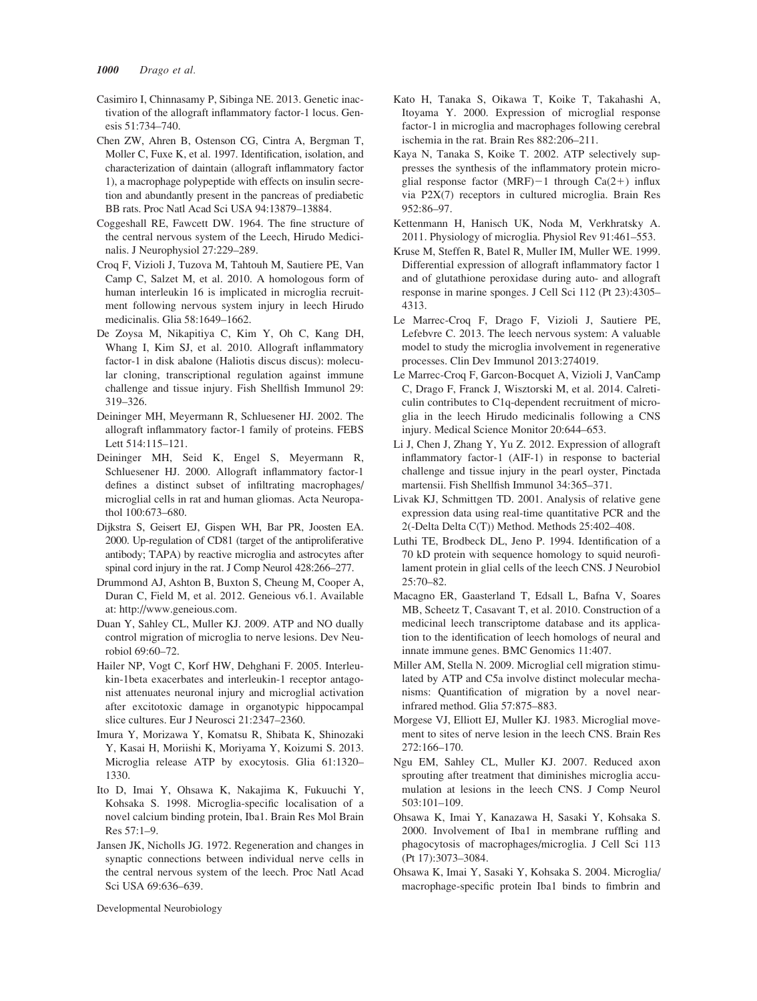- Casimiro I, Chinnasamy P, Sibinga NE. 2013. Genetic inactivation of the allograft inflammatory factor-1 locus. Genesis 51:734–740.
- Chen ZW, Ahren B, Ostenson CG, Cintra A, Bergman T, Moller C, Fuxe K, et al. 1997. Identification, isolation, and characterization of daintain (allograft inflammatory factor 1), a macrophage polypeptide with effects on insulin secretion and abundantly present in the pancreas of prediabetic BB rats. Proc Natl Acad Sci USA 94:13879–13884.
- Coggeshall RE, Fawcett DW. 1964. The fine structure of the central nervous system of the Leech, Hirudo Medicinalis. J Neurophysiol 27:229–289.
- Croq F, Vizioli J, Tuzova M, Tahtouh M, Sautiere PE, Van Camp C, Salzet M, et al. 2010. A homologous form of human interleukin 16 is implicated in microglia recruitment following nervous system injury in leech Hirudo medicinalis. Glia 58:1649–1662.
- De Zoysa M, Nikapitiya C, Kim Y, Oh C, Kang DH, Whang I, Kim SJ, et al. 2010. Allograft inflammatory factor-1 in disk abalone (Haliotis discus discus): molecular cloning, transcriptional regulation against immune challenge and tissue injury. Fish Shellfish Immunol 29: 319–326.
- Deininger MH, Meyermann R, Schluesener HJ. 2002. The allograft inflammatory factor-1 family of proteins. FEBS Lett 514:115–121.
- Deininger MH, Seid K, Engel S, Meyermann R, Schluesener HJ. 2000. Allograft inflammatory factor-1 defines a distinct subset of infiltrating macrophages/ microglial cells in rat and human gliomas. Acta Neuropathol 100:673–680.
- Dijkstra S, Geisert EJ, Gispen WH, Bar PR, Joosten EA. 2000. Up-regulation of CD81 (target of the antiproliferative antibody; TAPA) by reactive microglia and astrocytes after spinal cord injury in the rat. J Comp Neurol 428:266–277.
- Drummond AJ, Ashton B, Buxton S, Cheung M, Cooper A, Duran C, Field M, et al. 2012. Geneious v6.1. Available at: [http://www.geneious.com.](http://www.geneious.com)
- Duan Y, Sahley CL, Muller KJ. 2009. ATP and NO dually control migration of microglia to nerve lesions. Dev Neurobiol 69:60–72.
- Hailer NP, Vogt C, Korf HW, Dehghani F. 2005. Interleukin-1beta exacerbates and interleukin-1 receptor antagonist attenuates neuronal injury and microglial activation after excitotoxic damage in organotypic hippocampal slice cultures. Eur J Neurosci 21:2347–2360.
- Imura Y, Morizawa Y, Komatsu R, Shibata K, Shinozaki Y, Kasai H, Moriishi K, Moriyama Y, Koizumi S. 2013. Microglia release ATP by exocytosis. Glia 61:1320– 1330.
- Ito D, Imai Y, Ohsawa K, Nakajima K, Fukuuchi Y, Kohsaka S. 1998. Microglia-specific localisation of a novel calcium binding protein, Iba1. Brain Res Mol Brain Res 57:1–9.
- Jansen JK, Nicholls JG. 1972. Regeneration and changes in synaptic connections between individual nerve cells in the central nervous system of the leech. Proc Natl Acad Sci USA 69:636–639.
- Kato H, Tanaka S, Oikawa T, Koike T, Takahashi A, Itoyama Y. 2000. Expression of microglial response factor-1 in microglia and macrophages following cerebral ischemia in the rat. Brain Res 882:206–211.
- Kaya N, Tanaka S, Koike T. 2002. ATP selectively suppresses the synthesis of the inflammatory protein microglial response factor (MRF)-1 through Ca(2+) influx via P2X(7) receptors in cultured microglia. Brain Res 952:86–97.
- Kettenmann H, Hanisch UK, Noda M, Verkhratsky A. 2011. Physiology of microglia. Physiol Rev 91:461–553.
- Kruse M, Steffen R, Batel R, Muller IM, Muller WE. 1999. Differential expression of allograft inflammatory factor 1 and of glutathione peroxidase during auto- and allograft response in marine sponges. J Cell Sci 112 (Pt 23):4305– 4313.
- Le Marrec-Croq F, Drago F, Vizioli J, Sautiere PE, Lefebvre C. 2013. The leech nervous system: A valuable model to study the microglia involvement in regenerative processes. Clin Dev Immunol 2013:274019.
- Le Marrec-Croq F, Garcon-Bocquet A, Vizioli J, VanCamp C, Drago F, Franck J, Wisztorski M, et al. 2014. Calreticulin contributes to C1q-dependent recruitment of microglia in the leech Hirudo medicinalis following a CNS injury. Medical Science Monitor 20:644–653.
- Li J, Chen J, Zhang Y, Yu Z. 2012. Expression of allograft inflammatory factor-1 (AIF-1) in response to bacterial challenge and tissue injury in the pearl oyster, Pinctada martensii. Fish Shellfish Immunol 34:365–371.
- Livak KJ, Schmittgen TD. 2001. Analysis of relative gene expression data using real-time quantitative PCR and the 2(-Delta Delta C(T)) Method. Methods 25:402–408.
- Luthi TE, Brodbeck DL, Jeno P. 1994. Identification of a 70 kD protein with sequence homology to squid neurofilament protein in glial cells of the leech CNS. J Neurobiol 25:70–82.
- Macagno ER, Gaasterland T, Edsall L, Bafna V, Soares MB, Scheetz T, Casavant T, et al. 2010. Construction of a medicinal leech transcriptome database and its application to the identification of leech homologs of neural and innate immune genes. BMC Genomics 11:407.
- Miller AM, Stella N. 2009. Microglial cell migration stimulated by ATP and C5a involve distinct molecular mechanisms: Quantification of migration by a novel nearinfrared method. Glia 57:875–883.
- Morgese VJ, Elliott EJ, Muller KJ. 1983. Microglial movement to sites of nerve lesion in the leech CNS. Brain Res 272:166–170.
- Ngu EM, Sahley CL, Muller KJ. 2007. Reduced axon sprouting after treatment that diminishes microglia accumulation at lesions in the leech CNS. J Comp Neurol 503:101–109.
- Ohsawa K, Imai Y, Kanazawa H, Sasaki Y, Kohsaka S. 2000. Involvement of Iba1 in membrane ruffling and phagocytosis of macrophages/microglia. J Cell Sci 113 (Pt 17):3073–3084.
- Ohsawa K, Imai Y, Sasaki Y, Kohsaka S. 2004. Microglia/ macrophage-specific protein Iba1 binds to fimbrin and

Developmental Neurobiology